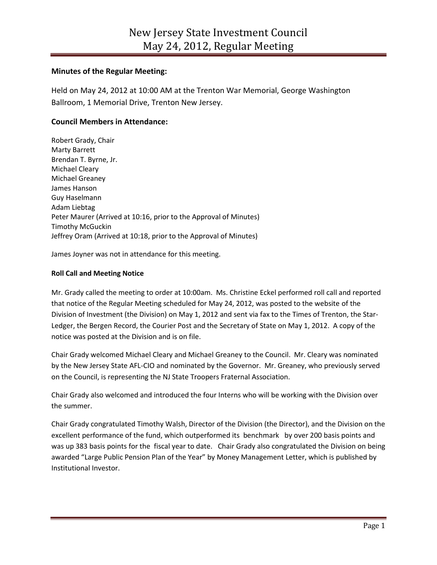# **Minutes of the Regular Meeting:**

Held on May 24, 2012 at 10:00 AM at the Trenton War Memorial, George Washington Ballroom, 1 Memorial Drive, Trenton New Jersey.

# **Council Members in Attendance:**

Robert Grady, Chair Marty Barrett Brendan T. Byrne, Jr. Michael Cleary Michael Greaney James Hanson Guy Haselmann Adam Liebtag Peter Maurer (Arrived at 10:16, prior to the Approval of Minutes) Timothy McGuckin Jeffrey Oram (Arrived at 10:18, prior to the Approval of Minutes)

James Joyner was not in attendance for this meeting.

## **Roll Call and Meeting Notice**

Mr. Grady called the meeting to order at 10:00am. Ms. Christine Eckel performed roll call and reported that notice of the Regular Meeting scheduled for May 24, 2012, was posted to the website of the Division of Investment (the Division) on May 1, 2012 and sent via fax to the Times of Trenton, the Star-Ledger, the Bergen Record, the Courier Post and the Secretary of State on May 1, 2012. A copy of the notice was posted at the Division and is on file.

Chair Grady welcomed Michael Cleary and Michael Greaney to the Council. Mr. Cleary was nominated by the New Jersey State AFL-CIO and nominated by the Governor. Mr. Greaney, who previously served on the Council, is representing the NJ State Troopers Fraternal Association.

Chair Grady also welcomed and introduced the four Interns who will be working with the Division over the summer.

Chair Grady congratulated Timothy Walsh, Director of the Division (the Director), and the Division on the excellent performance of the fund, which outperformed its benchmark by over 200 basis points and was up 383 basis points for the fiscal year to date. Chair Grady also congratulated the Division on being awarded "Large Public Pension Plan of the Year" by Money Management Letter, which is published by Institutional Investor.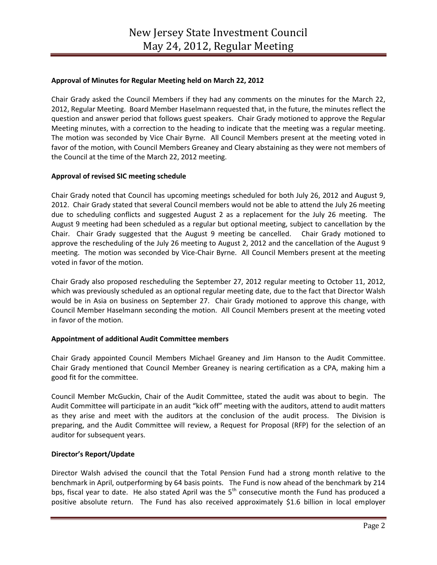## **Approval of Minutes for Regular Meeting held on March 22, 2012**

Chair Grady asked the Council Members if they had any comments on the minutes for the March 22, 2012, Regular Meeting. Board Member Haselmann requested that, in the future, the minutes reflect the question and answer period that follows guest speakers. Chair Grady motioned to approve the Regular Meeting minutes, with a correction to the heading to indicate that the meeting was a regular meeting. The motion was seconded by Vice Chair Byrne. All Council Members present at the meeting voted in favor of the motion, with Council Members Greaney and Cleary abstaining as they were not members of the Council at the time of the March 22, 2012 meeting.

## **Approval of revised SIC meeting schedule**

Chair Grady noted that Council has upcoming meetings scheduled for both July 26, 2012 and August 9, 2012. Chair Grady stated that several Council members would not be able to attend the July 26 meeting due to scheduling conflicts and suggested August 2 as a replacement for the July 26 meeting. The August 9 meeting had been scheduled as a regular but optional meeting, subject to cancellation by the Chair. Chair Grady suggested that the August 9 meeting be cancelled. Chair Grady motioned to approve the rescheduling of the July 26 meeting to August 2, 2012 and the cancellation of the August 9 meeting. The motion was seconded by Vice-Chair Byrne. All Council Members present at the meeting voted in favor of the motion.

Chair Grady also proposed rescheduling the September 27, 2012 regular meeting to October 11, 2012, which was previously scheduled as an optional regular meeting date, due to the fact that Director Walsh would be in Asia on business on September 27. Chair Grady motioned to approve this change, with Council Member Haselmann seconding the motion. All Council Members present at the meeting voted in favor of the motion.

# **Appointment of additional Audit Committee members**

Chair Grady appointed Council Members Michael Greaney and Jim Hanson to the Audit Committee. Chair Grady mentioned that Council Member Greaney is nearing certification as a CPA, making him a good fit for the committee.

Council Member McGuckin, Chair of the Audit Committee, stated the audit was about to begin. The Audit Committee will participate in an audit "kick off" meeting with the auditors, attend to audit matters as they arise and meet with the auditors at the conclusion of the audit process. The Division is preparing, and the Audit Committee will review, a Request for Proposal (RFP) for the selection of an auditor for subsequent years.

## **Director's Report/Update**

Director Walsh advised the council that the Total Pension Fund had a strong month relative to the benchmark in April, outperforming by 64 basis points. The Fund is now ahead of the benchmark by 214 bps, fiscal year to date. He also stated April was the 5<sup>th</sup> consecutive month the Fund has produced a positive absolute return. The Fund has also received approximately \$1.6 billion in local employer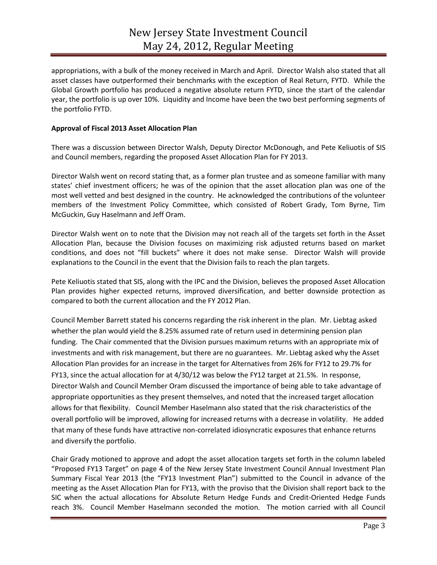appropriations, with a bulk of the money received in March and April. Director Walsh also stated that all asset classes have outperformed their benchmarks with the exception of Real Return, FYTD. While the Global Growth portfolio has produced a negative absolute return FYTD, since the start of the calendar year, the portfolio is up over 10%. Liquidity and Income have been the two best performing segments of the portfolio FYTD.

### **Approval of Fiscal 2013 Asset Allocation Plan**

There was a discussion between Director Walsh, Deputy Director McDonough, and Pete Keliuotis of SIS and Council members, regarding the proposed Asset Allocation Plan for FY 2013.

Director Walsh went on record stating that, as a former plan trustee and as someone familiar with many states' chief investment officers; he was of the opinion that the asset allocation plan was one of the most well vetted and best designed in the country. He acknowledged the contributions of the volunteer members of the Investment Policy Committee, which consisted of Robert Grady, Tom Byrne, Tim McGuckin, Guy Haselmann and Jeff Oram.

Director Walsh went on to note that the Division may not reach all of the targets set forth in the Asset Allocation Plan, because the Division focuses on maximizing risk adjusted returns based on market conditions, and does not "fill buckets" where it does not make sense. Director Walsh will provide explanations to the Council in the event that the Division fails to reach the plan targets.

Pete Keliuotis stated that SIS, along with the IPC and the Division, believes the proposed Asset Allocation Plan provides higher expected returns, improved diversification, and better downside protection as compared to both the current allocation and the FY 2012 Plan.

Council Member Barrett stated his concerns regarding the risk inherent in the plan. Mr. Liebtag asked whether the plan would yield the 8.25% assumed rate of return used in determining pension plan funding. The Chair commented that the Division pursues maximum returns with an appropriate mix of investments and with risk management, but there are no guarantees. Mr. Liebtag asked why the Asset Allocation Plan provides for an increase in the target for Alternatives from 26% for FY12 to 29.7% for FY13, since the actual allocation for at 4/30/12 was below the FY12 target at 21.5%. In response, Director Walsh and Council Member Oram discussed the importance of being able to take advantage of appropriate opportunities as they present themselves, and noted that the increased target allocation allows for that flexibility. Council Member Haselmann also stated that the risk characteristics of the overall portfolio will be improved, allowing for increased returns with a decrease in volatility. He added that many of these funds have attractive non-correlated idiosyncratic exposures that enhance returns and diversify the portfolio.

Chair Grady motioned to approve and adopt the asset allocation targets set forth in the column labeled "Proposed FY13 Target" on page 4 of the New Jersey State Investment Council Annual Investment Plan Summary Fiscal Year 2013 (the "FY13 Investment Plan") submitted to the Council in advance of the meeting as the Asset Allocation Plan for FY13, with the proviso that the Division shall report back to the SIC when the actual allocations for Absolute Return Hedge Funds and Credit-Oriented Hedge Funds reach 3%. Council Member Haselmann seconded the motion. The motion carried with all Council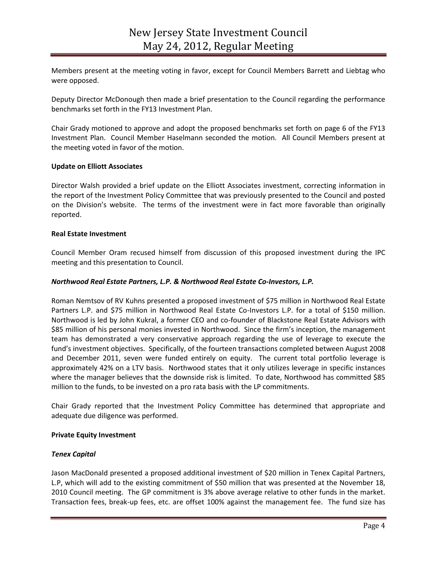Members present at the meeting voting in favor, except for Council Members Barrett and Liebtag who were opposed.

Deputy Director McDonough then made a brief presentation to the Council regarding the performance benchmarks set forth in the FY13 Investment Plan.

Chair Grady motioned to approve and adopt the proposed benchmarks set forth on page 6 of the FY13 Investment Plan. Council Member Haselmann seconded the motion. All Council Members present at the meeting voted in favor of the motion.

## **Update on Elliott Associates**

Director Walsh provided a brief update on the Elliott Associates investment, correcting information in the report of the Investment Policy Committee that was previously presented to the Council and posted on the Division's website. The terms of the investment were in fact more favorable than originally reported.

#### **Real Estate Investment**

Council Member Oram recused himself from discussion of this proposed investment during the IPC meeting and this presentation to Council.

### *Northwood Real Estate Partners, L.P. & Northwood Real Estate Co-Investors, L.P.*

Roman Nemtsov of RV Kuhns presented a proposed investment of \$75 million in Northwood Real Estate Partners L.P. and \$75 million in Northwood Real Estate Co-Investors L.P. for a total of \$150 million. Northwood is led by John Kukral, a former CEO and co-founder of Blackstone Real Estate Advisors with \$85 million of his personal monies invested in Northwood. Since the firm's inception, the management team has demonstrated a very conservative approach regarding the use of leverage to execute the fund's investment objectives. Specifically, of the fourteen transactions completed between August 2008 and December 2011, seven were funded entirely on equity. The current total portfolio leverage is approximately 42% on a LTV basis. Northwood states that it only utilizes leverage in specific instances where the manager believes that the downside risk is limited. To date, Northwood has committed \$85 million to the funds, to be invested on a pro rata basis with the LP commitments.

Chair Grady reported that the Investment Policy Committee has determined that appropriate and adequate due diligence was performed.

#### **Private Equity Investment**

#### *Tenex Capital*

Jason MacDonald presented a proposed additional investment of \$20 million in Tenex Capital Partners, L.P, which will add to the existing commitment of \$50 million that was presented at the November 18, 2010 Council meeting. The GP commitment is 3% above average relative to other funds in the market. Transaction fees, break-up fees, etc. are offset 100% against the management fee. The fund size has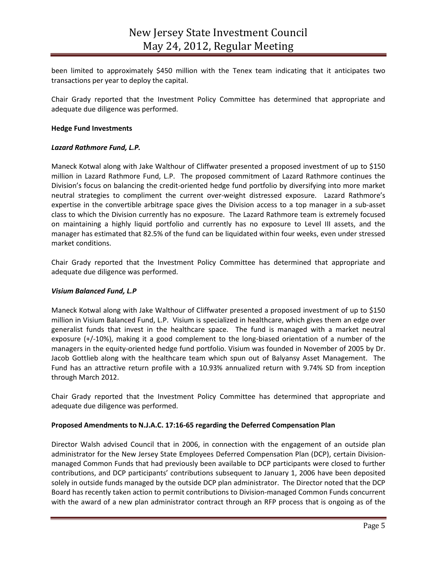been limited to approximately \$450 million with the Tenex team indicating that it anticipates two transactions per year to deploy the capital.

Chair Grady reported that the Investment Policy Committee has determined that appropriate and adequate due diligence was performed.

### **Hedge Fund Investments**

### *Lazard Rathmore Fund, L.P.*

Maneck Kotwal along with Jake Walthour of Cliffwater presented a proposed investment of up to \$150 million in Lazard Rathmore Fund, L.P. The proposed commitment of Lazard Rathmore continues the Division's focus on balancing the credit-oriented hedge fund portfolio by diversifying into more market neutral strategies to compliment the current over-weight distressed exposure. Lazard Rathmore's expertise in the convertible arbitrage space gives the Division access to a top manager in a sub-asset class to which the Division currently has no exposure. The Lazard Rathmore team is extremely focused on maintaining a highly liquid portfolio and currently has no exposure to Level III assets, and the manager has estimated that 82.5% of the fund can be liquidated within four weeks, even under stressed market conditions.

Chair Grady reported that the Investment Policy Committee has determined that appropriate and adequate due diligence was performed.

## *Visium Balanced Fund, L.P*

Maneck Kotwal along with Jake Walthour of Cliffwater presented a proposed investment of up to \$150 million in Visium Balanced Fund, L.P. Visium is specialized in healthcare, which gives them an edge over generalist funds that invest in the healthcare space. The fund is managed with a market neutral exposure (+/-10%), making it a good complement to the long-biased orientation of a number of the managers in the equity-oriented hedge fund portfolio. Visium was founded in November of 2005 by Dr. Jacob Gottlieb along with the healthcare team which spun out of Balyansy Asset Management. The Fund has an attractive return profile with a 10.93% annualized return with 9.74% SD from inception through March 2012.

Chair Grady reported that the Investment Policy Committee has determined that appropriate and adequate due diligence was performed.

## **Proposed Amendments to N.J.A.C. 17:16-65 regarding the Deferred Compensation Plan**

Director Walsh advised Council that in 2006, in connection with the engagement of an outside plan administrator for the New Jersey State Employees Deferred Compensation Plan (DCP), certain Divisionmanaged Common Funds that had previously been available to DCP participants were closed to further contributions, and DCP participants' contributions subsequent to January 1, 2006 have been deposited solely in outside funds managed by the outside DCP plan administrator. The Director noted that the DCP Board has recently taken action to permit contributions to Division-managed Common Funds concurrent with the award of a new plan administrator contract through an RFP process that is ongoing as of the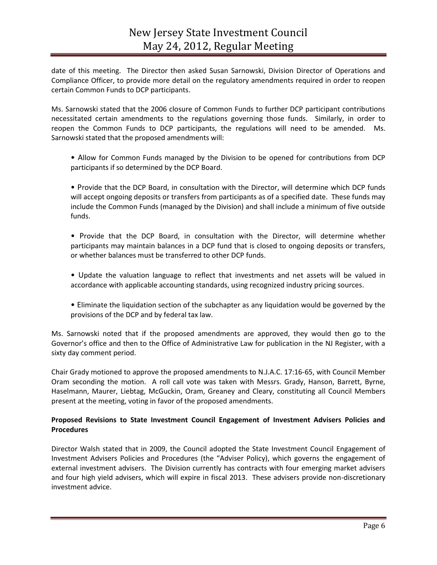date of this meeting. The Director then asked Susan Sarnowski, Division Director of Operations and Compliance Officer, to provide more detail on the regulatory amendments required in order to reopen certain Common Funds to DCP participants.

Ms. Sarnowski stated that the 2006 closure of Common Funds to further DCP participant contributions necessitated certain amendments to the regulations governing those funds. Similarly, in order to reopen the Common Funds to DCP participants, the regulations will need to be amended. Ms. Sarnowski stated that the proposed amendments will:

• Allow for Common Funds managed by the Division to be opened for contributions from DCP participants if so determined by the DCP Board.

• Provide that the DCP Board, in consultation with the Director, will determine which DCP funds will accept ongoing deposits or transfers from participants as of a specified date. These funds may include the Common Funds (managed by the Division) and shall include a minimum of five outside funds.

- Provide that the DCP Board, in consultation with the Director, will determine whether participants may maintain balances in a DCP fund that is closed to ongoing deposits or transfers, or whether balances must be transferred to other DCP funds.
- Update the valuation language to reflect that investments and net assets will be valued in accordance with applicable accounting standards, using recognized industry pricing sources.
- Eliminate the liquidation section of the subchapter as any liquidation would be governed by the provisions of the DCP and by federal tax law.

Ms. Sarnowski noted that if the proposed amendments are approved, they would then go to the Governor's office and then to the Office of Administrative Law for publication in the NJ Register, with a sixty day comment period.

Chair Grady motioned to approve the proposed amendments to N.J.A.C. 17:16-65, with Council Member Oram seconding the motion. A roll call vote was taken with Messrs. Grady, Hanson, Barrett, Byrne, Haselmann, Maurer, Liebtag, McGuckin, Oram, Greaney and Cleary, constituting all Council Members present at the meeting, voting in favor of the proposed amendments.

# **Proposed Revisions to State Investment Council Engagement of Investment Advisers Policies and Procedures**

Director Walsh stated that in 2009, the Council adopted the State Investment Council Engagement of Investment Advisers Policies and Procedures (the "Adviser Policy), which governs the engagement of external investment advisers. The Division currently has contracts with four emerging market advisers and four high yield advisers, which will expire in fiscal 2013. These advisers provide non-discretionary investment advice.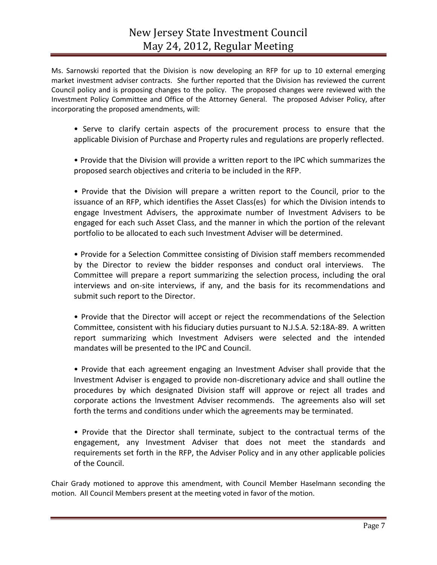Ms. Sarnowski reported that the Division is now developing an RFP for up to 10 external emerging market investment adviser contracts. She further reported that the Division has reviewed the current Council policy and is proposing changes to the policy. The proposed changes were reviewed with the Investment Policy Committee and Office of the Attorney General. The proposed Adviser Policy, after incorporating the proposed amendments, will:

- Serve to clarify certain aspects of the procurement process to ensure that the applicable Division of Purchase and Property rules and regulations are properly reflected.
- Provide that the Division will provide a written report to the IPC which summarizes the proposed search objectives and criteria to be included in the RFP.

• Provide that the Division will prepare a written report to the Council, prior to the issuance of an RFP, which identifies the Asset Class(es) for which the Division intends to engage Investment Advisers, the approximate number of Investment Advisers to be engaged for each such Asset Class, and the manner in which the portion of the relevant portfolio to be allocated to each such Investment Adviser will be determined.

• Provide for a Selection Committee consisting of Division staff members recommended by the Director to review the bidder responses and conduct oral interviews. The Committee will prepare a report summarizing the selection process, including the oral interviews and on-site interviews, if any, and the basis for its recommendations and submit such report to the Director.

• Provide that the Director will accept or reject the recommendations of the Selection Committee, consistent with his fiduciary duties pursuant to N.J.S.A. 52:18A-89. A written report summarizing which Investment Advisers were selected and the intended mandates will be presented to the IPC and Council.

• Provide that each agreement engaging an Investment Adviser shall provide that the Investment Adviser is engaged to provide non-discretionary advice and shall outline the procedures by which designated Division staff will approve or reject all trades and corporate actions the Investment Adviser recommends. The agreements also will set forth the terms and conditions under which the agreements may be terminated.

• Provide that the Director shall terminate, subject to the contractual terms of the engagement, any Investment Adviser that does not meet the standards and requirements set forth in the RFP, the Adviser Policy and in any other applicable policies of the Council.

Chair Grady motioned to approve this amendment, with Council Member Haselmann seconding the motion. All Council Members present at the meeting voted in favor of the motion.